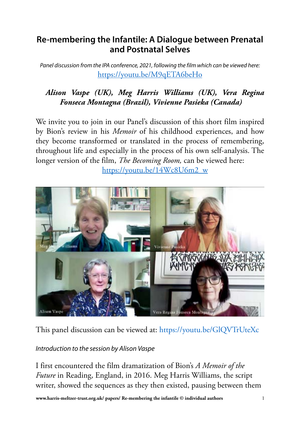# **Re-membering the Infantile: A Dialogue between Prenatal and Postnatal Selves**

*Panel discussion from the IPA conference, 2021, following the film which can be viewed here:* <https://youtu.be/M9qETA6beHo>

# *Alison Vaspe (UK), Meg Harris Williams (UK), Vera Regina Fonseca Montagna (Brazil), Vivienne Pasieka (Canada)*

We invite you to join in our Panel's discussion of this short film inspired by Bion's review in his *Memoir* of his childhood experiences, and how they become transformed or translated in the process of remembering, throughout life and especially in the process of his own self-analysis. The longer version of the film, *The Becoming Room,* can be viewed here: [https://youtu.be/14Wc8U6m2\\_w](https://youtu.be/14Wc8U6m2_w)



This panel discussion can be viewed at: [https://youtu.be/GlQVTrUteXc](https://youtu.be/GlQVTrUteXc )

*Introduction to the session by Alison Vaspe*

I first encountered the film dramatization of Bion's *A Memoir of the Future* in Reading, England, in 2016. Meg Harris Williams, the script writer, showed the sequences as they then existed, pausing between them

**<www.harris><-meltzer-trust.org.uk>/ papers/ Re-membering the infantile © individual authors** 1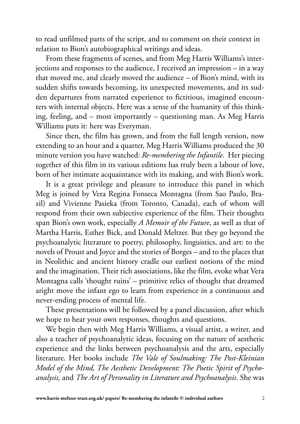to read unfilmed parts of the script, and to comment on their context in relation to Bion's autobiographical writings and ideas.

From these fragments of scenes, and from Meg Harris Williams's interjections and responses to the audience, I received an impression – in a way that moved me, and clearly moved the audience – of Bion's mind, with its sudden shifts towards becoming, its unexpected movements, and its sudden departures from narrated experience to fictitious, imagined encounters with internal objects. Here was a sense of the humanity of this thinking, feeling, and – most importantly – questioning man. As Meg Harris Williams puts it: here was Everyman.

Since then, the film has grown, and from the full length version, now extending to an hour and a quarter, Meg Harris Williams produced the 30 minute version you have watched: *Re-membering the Infantile.* Her piecing together of this film in its various editions has truly been a labour of love, born of her intimate acquaintance with its making, and with Bion's work.

It is a great privilege and pleasure to introduce this panel in which Meg is joined by Vera Regina Fonseca Montagna (from Sao Paulo, Brazil) and Vivienne Pasieka (from Toronto, Canada), each of whom will respond from their own subjective experience of the film. Their thoughts span Bion's own work, especially *A Memoir of the Future*, as well as that of Martha Harris, Esther Bick, and Donald Meltzer. But they go beyond the psychoanalytic literature to poetry, philosophy, linguistics, and art: to the novels of Proust and Joyce and the stories of Borges – and to the places that in Neolithic and ancient history cradle our earliest notions of the mind and the imagination. Their rich associations, like the film, evoke what Vera Montagna calls 'thought ruins' – primitive relics of thought that dreamed aright move the infant ego to learn from experience in a continuous and never-ending process of mental life.

These presentations will be followed by a panel discussion, after which we hope to hear your own responses, thoughts and questions.

We begin then with Meg Harris Williams, a visual artist, a writer, and also a teacher of psychoanalytic ideas, focusing on the nature of aesthetic experience and the links between psychoanalysis and the arts, especially literature. Her books include *The Vale of Soulmaking: The Post-Kleinian Model of the Mind, The Aesthetic Development: The Poetic Spirit of Psychoanalysis,* and *The Art of Personality in Literature and Psychoanalysis.* She was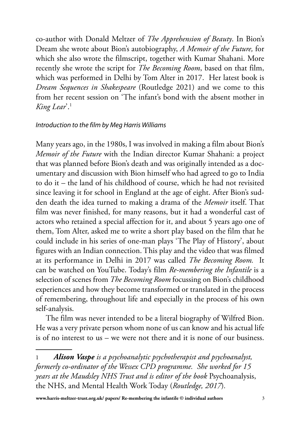co-author with Donald Meltzer of *The Apprehension of Beauty*. In Bion's Dream she wrote about Bion's autobiography, *A Memoir of the Future,* for which she also wrote the filmscript, together with Kumar Shahani. More recently she wrote the script for *The Becoming Room*, based on that film, which was performed in Delhi by Tom Alter in 2017. Her latest book is *Dream Sequences in Shakespeare* (Routledge 2021) and we come to this from her recent session on 'The infant's bond with the absent mother in *King Lear*'.1

### *Introduction to the film by Meg Harris Williams*

Many years ago, in the 1980s, I was involved in making a film about Bion's *Memoir of the Future* with the Indian director Kumar Shahani: a project that was planned before Bion's death and was originally intended as a documentary and discussion with Bion himself who had agreed to go to India to do it – the land of his childhood of course, which he had not revisited since leaving it for school in England at the age of eight. After Bion's sudden death the idea turned to making a drama of the *Memoir* itself. That film was never finished, for many reasons, but it had a wonderful cast of actors who retained a special affection for it, and about 5 years ago one of them, Tom Alter, asked me to write a short play based on the film that he could include in his series of one-man plays 'The Play of History', about figures with an Indian connection. This play and the video that was filmed at its performance in Delhi in 2017 was called *The Becoming Room.* It can be watched on YouTube. Today's film *Re-membering the Infantile* is a selection of scenes from *The Becoming Room* focussing on Bion's childhood experiences and how they become transformed or translated in the process of remembering, throughout life and especially in the process of his own self-analysis.

The film was never intended to be a literal biography of Wilfred Bion. He was a very private person whom none of us can know and his actual life is of no interest to us – we were not there and it is none of our business.

<sup>1</sup> *Alison Vaspe is a psychoanalytic psychotherapist and psychoanalyst, formerly co-ordinator of the Wessex CPD programme. She worked for 15 years at the Maudsley NHS Trust and is editor of the book* Psychoanalysis, the NHS, and Mental Health Work Today (*Routledge, 2017*)*.*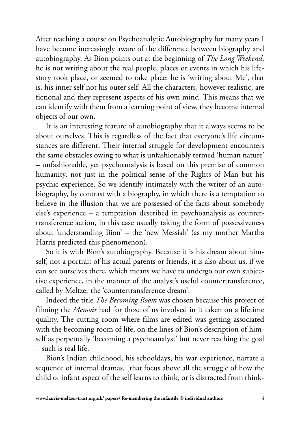After teaching a course on Psychoanalytic Autobiography for many years I have become increasingly aware of the difference between biography and autobiography. As Bion points out at the beginning of *The Long Weekend*, he is not writing about the real people, places or events in which his lifestory took place, or seemed to take place: he is 'writing about Me', that is, his inner self not his outer self. All the characters, however realistic, are fictional and they represent aspects of his own mind. This means that we can identify with them from a learning point of view, they become internal objects of our own.

It is an interesting feature of autobiography that it always seems to be about ourselves. This is regardless of the fact that everyone's life circumstances are different. Their internal struggle for development encounters the same obstacles owing to what is unfashionably termed 'human nature' – unfashionable, yet psychoanalysis is based on this premise of common humanity, not just in the political sense of the Rights of Man but his psychic experience. So we identify intimately with the writer of an autobiography, by contrast with a biography, in which there is a temptation to believe in the illusion that we are possessed of the facts about somebody else's experience – a temptation described in psychoanalysis as countertransference action, in this case usually taking the form of possessiveness about 'understanding Bion' – the 'new Messiah' (as my mother Martha Harris predicted this phenomenon).

So it is with Bion's autobiography. Because it is his dream about himself, not a portrait of his actual parents or friends, it is also about us, if we can see ourselves there, which means we have to undergo our own subjective experience, in the manner of the analyst's useful countertransference, called by Meltzer the 'countertransference dream'.

Indeed the title *The Becoming Room* was chosen because this project of filming the *Memoir* had for those of us involved in it taken on a lifetime quality. The cutting room where films are edited was getting associated with the becoming room of life, on the lines of Bion's description of himself as perpetually 'becoming a psychoanalyst' but never reaching the goal – such is real life.

Bion's Indian childhood, his schooldays, his war experience, narrate a sequence of internal dramas. [that focus above all the struggle of how the child or infant aspect of the self learns to think, or is distracted from think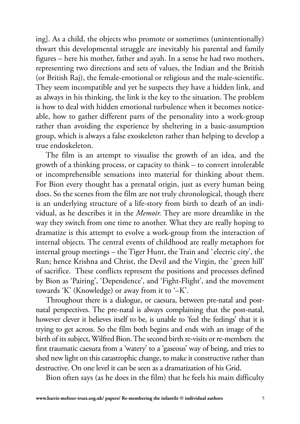ing]. As a child, the objects who promote or sometimes (unintentionally) thwart this developmental struggle are inevitably his parental and family figures – here his mother, father and ayah. In a sense he had two mothers, representing two directions and sets of values, the Indian and the British (or British Raj), the female-emotional or religious and the male-scientific. They seem incompatible and yet he suspects they have a hidden link, and as always in his thinking, the link is the key to the situation. The problem is how to deal with hidden emotional turbulence when it becomes noticeable, how to gather different parts of the personality into a work-group rather than avoiding the experience by sheltering in a basic-assumption group, which is always a false exoskeleton rather than helping to develop a true endoskeleton.

The film is an attempt to visualise the growth of an idea, and the growth of a thinking process, or capacity to think – to convert intolerable or incomprehensible sensations into material for thinking about them. For Bion every thought has a prenatal origin, just as every human being does. So the scenes from the film are not truly chronological, though there is an underlying structure of a life-story from birth to death of an individual, as he describes it in the *Memoir.* They are more dreamlike in the way they switch from one time to another. What they are really hoping to dramatize is this attempt to evolve a work-group from the interaction of internal objects. The central events of childhood are really metaphors for internal group meetings – the Tiger Hunt, the Train and `electric city', the Run; hence Krishna and Christ, the Devil and the Virgin, the `green hill' of sacrifice. These conflicts represent the positions and processes defined by Bion as 'Pairing', 'Dependence', and 'Fight-Flight', and the movement towards 'K' (Knowledge) or away from it to '–K'.

Throughout there is a dialogue, or caesura, between pre-natal and postnatal perspectives. The pre-natal is always complaining that the post-natal, however clever it believes itself to be, is unable to 'feel the feelings' that it is trying to get across. So the film both begins and ends with an image of the birth of its subject, Wilfred Bion. The second birth re-visits or re-members the first traumatic caesura from a 'watery' to a 'gaseous' way of being, and tries to shed new light on this catastrophic change, to make it constructive rather than destructive. On one level it can be seen as a dramatization of his Grid.

Bion often says (as he does in the film) that he feels his main difficulty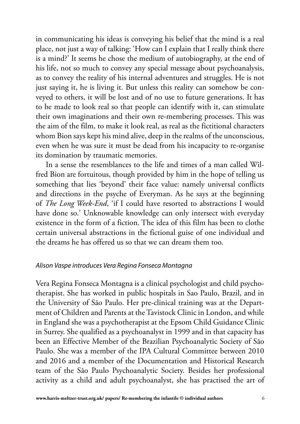in communicating his ideas is conveying his belief that the mind is a real place, not just a way of talking: 'How can I explain that I really think there is a mind?' It seems he chose the medium of autobiography, at the end of his life, not so much to convey any special message about psychoanalysis, as to convey the reality of his internal adventures and struggles. He is not just saying it, he is living it. But unless this reality can somehow be conveyed to others, it will be lost and of no use to future generations. It has to be made to look real so that people can identify with it, can stimulate their own imaginations and their own re-membering processes. This was the aim of the film, to make it look real, as real as the fictitional characters whom Bion says kept his mind alive, deep in the realms of the unconscious, even when he was sure it must be dead from his incapacity to re-organise its domination by traumatic memories.

In a sense the resemblances to the life and times of a man called Wilfred Bion are fortuitous, though provided by him in the hope of telling us something that lies 'beyond' their face value: namely universal conflicts and directions in the psyche of Everyman. As he says at the beginning of *The Long Week-End*, 'if I could have resorted to abstractions I would have done so.' Unknowable knowledge can only intersect with everyday existence in the form of a fiction. The idea of this film has been to clothe certain universal abstractions in the fictional guise of one individual and the dreams he has offered us so that we can dream them too.

#### *Alison Vaspe introduces Vera Regina Fonseca Montagna*

Vera Regina Fonseca Montagna is a clinical psychologist and child psychotherapist. She has worked in public hospitals in Sao Paulo, Brazil, and in the University of São Paulo. Her pre-clinical training was at the Department of Children and Parents at the Tavistock Clinic in London, and while in England she was a psychotherapist at the Epsom Child Guidance Clinic in Surrey. She qualified as a psychoanalyst in 1999 and in that capacity has been an Effective Member of the Brazilian Psychoanalytic Society of São Paulo. She was a member of the IPA Cultural Committee between 2010 and 2016 and a member of the Documentation and Historical Research team of the São Paulo Psychoanalytic Society. Besides her professional activity as a child and adult psychoanalyst, she has practised the art of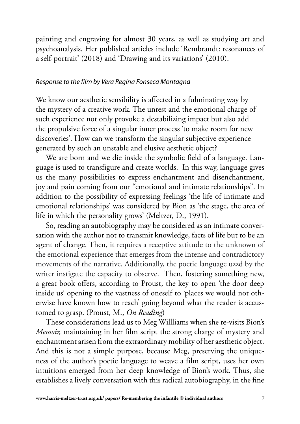painting and engraving for almost 30 years, as well as studying art and psychoanalysis. Her published articles include 'Rembrandt: resonances of a self-portrait' (2018) and 'Drawing and its variations' (2010).

#### *Response to the film by Vera Regina Fonseca Montagna*

We know our aesthetic sensibility is affected in a fulminating way by the mystery of a creative work. The unrest and the emotional charge of such experience not only provoke a destabilizing impact but also add the propulsive force of a singular inner process 'to make room for new discoveries'. How can we transform the singular subjective experience generated by such an unstable and elusive aesthetic object?

We are born and we die inside the symbolic field of a language. Language is used to transfigure and create worlds. In this way, language gives us the many possibilities to express enchantment and disenchantment, joy and pain coming from our "emotional and intimate relationships". In addition to the possibility of expressing feelings 'the life of intimate and emotional relationships' was considered by Bion as 'the stage, the area of life in which the personality grows' (Meltzer, D., 1991).

So, reading an autobiography may be considered as an intimate conversation with the author not to transmit knowledge, facts of life but to be an agent of change. Then, it requires a receptive attitude to the unknown of the emotional experience that emerges from the intense and contradictory movements of the narrative. Additionally, the poetic language uzzd by the writer instigate the capacity to observe. Then, fostering something new, a great book offers, according to Proust, the key to open 'the door deep inside us' opening to the vastness of oneself to 'places we would not otherwise have known how to reach' going beyond what the reader is accustomed to grasp. (Proust, M., *On Reading*)

These considerations lead us to Meg Willliams when she re-visits Bion's *Memoir,* maintaining in her film script the strong charge of mystery and enchantment arisen from the extraordinary mobility of her aesthetic object. And this is not a simple purpose, because Meg, preserving the uniqueness of the author's poetic language to weave a film script, uses her own intuitions emerged from her deep knowledge of Bion's work. Thus, she establishes a lively conversation with this radical autobiography, in the fine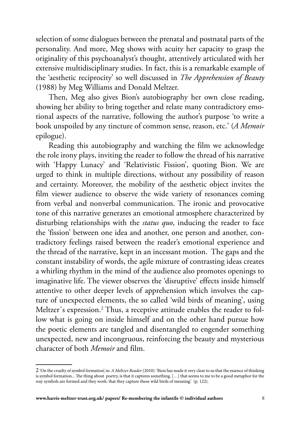selection of some dialogues between the prenatal and postnatal parts of the personality. And more, Meg shows with acuity her capacity to grasp the originality of this psychoanalyst's thought, attentively articulated with her extensive multidisciplinary studies. In fact, this is a remarkable example of the 'aesthetic reciprocity' so well discussed in *The Apprehension of Beauty*  (1988) by Meg Williams and Donald Meltzer.

 Then, Meg also gives Bion's autobiography her own close reading, showing her ability to bring together and relate many contradictory emotional aspects of the narrative, following the author's purpose 'to write a book unspoiled by any tincture of common sense, reason, etc.' (*A Memoir* epilogue).

 Reading this autobiography and watching the film we acknowledge the role irony plays, inviting the reader to follow the thread of his narrative with 'Happy Lunacy' and 'Relativistic Fission', quoting Bion. We are urged to think in multiple directions, without any possibility of reason and certainty. Moreover, the mobility of the aesthetic object invites the film viewer audience to observe the wide variety of resonances coming from verbal and nonverbal communication. The ironic and provocative tone of this narrative generates an emotional atmosphere characterized by disturbing relationships with the *status quo*, inducing the reader to face the 'fission' between one idea and another, one person and another, contradictory feelings raised between the reader's emotional experience and the thread of the narrative, kept in an incessant motion. The gaps and the constant instability of words, the agile mixture of contrasting ideas creates a whirling rhythm in the mind of the audience also promotes openings to imaginative life. The viewer observes the 'disruptive' effects inside himself attentive to other deeper levels of apprehension which involves the capture of unexpected elements, the so called 'wild birds of meaning', using Meltzer´s expression.<sup>2</sup> Thus, a receptive attitude enables the reader to follow what is going on inside himself and on the other hand pursue how the poetic elements are tangled and disentangled to engender something unexpected, new and incongruous, reinforcing the beauty and mysterious character of both *Memoir* and film.

<sup>2 &#</sup>x27;On the cruelty of symbol formation', in: *A Meltzer Reader* (2010): 'Bion has made it very clear to us that the essence of thinking is symbol formation... The thing about poetry, is that it captures something. […] that seems to me to be a good metaphor for the way symbols are formed and they work: that they capture these wild birds of meaning.' (p. 122).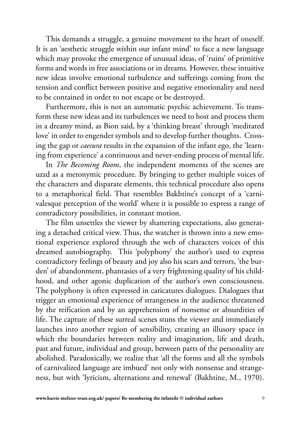This demands a struggle, a genuine movement to the heart of oneself. It is an 'aesthetic struggle within our infant mind' to face a new language which may provoke the emergence of unusual ideas, of 'ruins' of primitive forms and words in free associations or in dreams*.* However, these intuitive new ideas involve emotional turbulence and sufferings coming from the tension and conflict between positive and negative emotionality and need to be contained in order to not escape or be destroyed.

Furthermore, this is not an automatic psychic achievement. To transform these new ideas and its turbulences we need to host and process them in a dreamy mind, as Bion said, by a 'thinking breast' through 'meditated love' in order to engender symbols and to develop further thoughts. Crossing the gap or *caesura* results in the expansion of the infant ego, the 'learning from experience' a continuous and never-ending process of mental life.

In *The Becoming Room*, the independent moments of the scenes are uzzd as a metonymic procedure. By bringing to gether multiple voices of the characters and disparate elements, this technical procedure also opens to a metaphorical field. That resembles Bakhtine's concept of a 'carnivalesque perception of the world' where it is possible to express a range of contradictory possibilities, in constant motion.

The film unsettles the viewer by shattering expectations, also generating a detached critical view. Thus, the watcher is thrown into a new emotional experience explored through the web of characters voices of this dreamed autobiography. This 'polyphony' the author's used to express contradictory feelings of beauty and joy also his scars and terrors, 'the burden' of abandonment, phantasies of a very frightening quality of his childhood, and other agonic duplication of the author's own consciousness. The polyphony is often expressed in caricatures dialogues. Dialogues that trigger an emotional experience of strangeness in the audience threatened by the reification and by an apprehension of nonsense or absurdities of life. The capture of these surreal scenes stuns the viewer and immediately launches into another region of sensibility, creating an illusory space in which the boundaries between reality and imagination, life and death, past and future, individual and group, between parts of the personality are abolished. Paradoxically, we realize that 'all the forms and all the symbols of carnivalized language are imbued' not only with nonsense and strangeness, but with 'lyricism, alternations and renewal' (Bakhtine, M., 1970).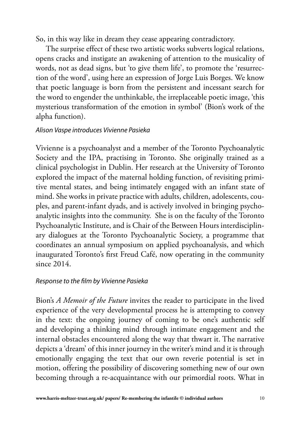So, in this way like in dream they cease appearing contradictory.

The surprise effect of these two artistic works subverts logical relations, opens cracks and instigate an awakening of attention to the musicality of words, not as dead signs, but 'to give them life', to promote the 'resurrection of the word', using here an expression of Jorge Luis Borges. We know that poetic language is born from the persistent and incessant search for the word to engender the unthinkable, the irreplaceable poetic image, 'this mysterious transformation of the emotion in symbol' (Bion's work of the alpha function).

## *Alison Vaspe introduces Vivienne Pasieka*

Vivienne is a psychoanalyst and a member of the Toronto Psychoanalytic Society and the IPA, practising in Toronto. She originally trained as a clinical psychologist in Dublin. Her research at the University of Toronto explored the impact of the maternal holding function, of revisiting primitive mental states, and being intimately engaged with an infant state of mind. She works in private practice with adults, children, adolescents, couples, and parent-infant dyads, and is actively involved in bringing psychoanalytic insights into the community. She is on the faculty of the Toronto Psychoanalytic Institute, and is Chair of the Between Hours interdisciplinary dialogues at the Toronto Psychoanalytic Society, a programme that coordinates an annual symposium on applied psychoanalysis, and which inaugurated Toronto's first Freud Café, now operating in the community since 2014.

## *Response to the film by Vivienne Pasieka*

Bion's *A Memoir of the Future* invites the reader to participate in the lived experience of the very developmental process he is attempting to convey in the text: the ongoing journey of coming to be one's authentic self and developing a thinking mind through intimate engagement and the internal obstacles encountered along the way that thwart it. The narrative depicts a 'dream' of this inner journey in the writer's mind and it is through emotionally engaging the text that our own reverie potential is set in motion, offering the possibility of discovering something new of our own becoming through a re-acquaintance with our primordial roots. What in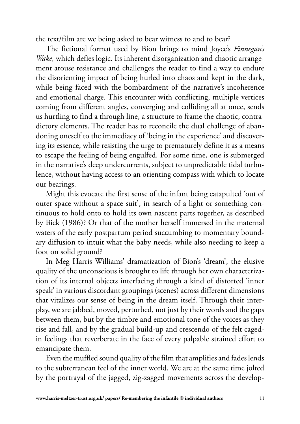the text/film are we being asked to bear witness to and to bear?

The fictional format used by Bion brings to mind Joyce's *Finnegan's Wake,* which defies logic. Its inherent disorganization and chaotic arrangement arouse resistance and challenges the reader to find a way to endure the disorienting impact of being hurled into chaos and kept in the dark, while being faced with the bombardment of the narrative's incoherence and emotional charge. This encounter with conflicting, multiple vertices coming from different angles, converging and colliding all at once, sends us hurtling to find a through line, a structure to frame the chaotic, contradictory elements. The reader has to reconcile the dual challenge of abandoning oneself to the immediacy of 'being in the experience' and discovering its essence, while resisting the urge to prematurely define it as a means to escape the feeling of being engulfed. For some time, one is submerged in the narrative's deep undercurrents, subject to unpredictable tidal turbulence, without having access to an orienting compass with which to locate our bearings.

Might this evocate the first sense of the infant being catapulted 'out of outer space without a space suit', in search of a light or something continuous to hold onto to hold its own nascent parts together, as described by Bick (1986)? Or that of the mother herself immersed in the maternal waters of the early postpartum period succumbing to momentary boundary diffusion to intuit what the baby needs, while also needing to keep a foot on solid ground?

In Meg Harris Williams' dramatization of Bion's 'dream', the elusive quality of the unconscious is brought to life through her own characterization of its internal objects interfacing through a kind of distorted 'inner speak' in various discordant groupings (scenes) across different dimensions that vitalizes our sense of being in the dream itself. Through their interplay, we are jabbed, moved, perturbed, not just by their words and the gaps between them, but by the timbre and emotional tone of the voices as they rise and fall, and by the gradual build-up and crescendo of the felt cagedin feelings that reverberate in the face of every palpable strained effort to emancipate them.

Even the muffled sound quality of the film that amplifies and fades lends to the subterranean feel of the inner world. We are at the same time jolted by the portrayal of the jagged, zig-zagged movements across the develop-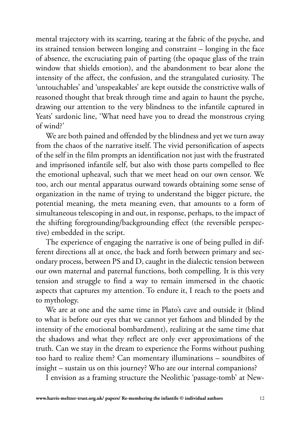mental trajectory with its scarring, tearing at the fabric of the psyche, and its strained tension between longing and constraint – longing in the face of absence, the excruciating pain of parting (the opaque glass of the train window that shields emotion), and the abandonment to bear alone the intensity of the affect, the confusion, and the strangulated curiosity. The 'untouchables' and 'unspeakables' are kept outside the constrictive walls of reasoned thought that break through time and again to haunt the psyche, drawing our attention to the very blindness to the infantile captured in Yeats' sardonic line, 'What need have you to dread the monstrous crying of wind?'

We are both pained and offended by the blindness and yet we turn away from the chaos of the narrative itself. The vivid personification of aspects of the self in the film prompts an identification not just with the frustrated and imprisoned infantile self, but also with those parts compelled to flee the emotional upheaval, such that we meet head on our own censor. We too, arch our mental apparatus outward towards obtaining some sense of organization in the name of trying to understand the bigger picture, the potential meaning, the meta meaning even, that amounts to a form of simultaneous telescoping in and out, in response, perhaps, to the impact of the shifting foregrounding/backgrounding effect (the reversible perspective) embedded in the script.

The experience of engaging the narrative is one of being pulled in different directions all at once, the back and forth between primary and secondary process, between PS and D, caught in the dialectic tension between our own maternal and paternal functions, both compelling. It is this very tension and struggle to find a way to remain immersed in the chaotic aspects that captures my attention. To endure it, I reach to the poets and to mythology.

We are at one and the same time in Plato's cave and outside it (blind to what is before our eyes that we cannot yet fathom and blinded by the intensity of the emotional bombardment), realizing at the same time that the shadows and what they reflect are only ever approximations of the truth. Can we stay in the dream to experience the Forms without pushing too hard to realize them? Can momentary illuminations – soundbites of insight – sustain us on this journey? Who are our internal companions?

I envision as a framing structure the Neolithic 'passage-tomb' at New-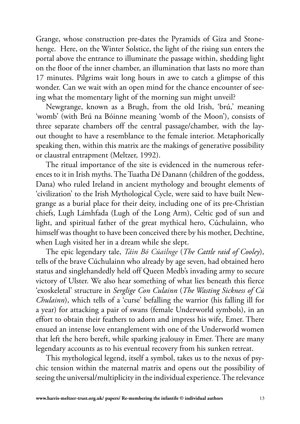Grange, whose construction pre-dates the Pyramids of Giza and Stonehenge. Here, on the Winter Solstice, the light of the rising sun enters the portal above the entrance to illuminate the passage within, shedding light on the floor of the inner chamber, an illumination that lasts no more than 17 minutes. Pilgrims wait long hours in awe to catch a glimpse of this wonder. Can we wait with an open mind for the chance encounter of seeing what the momentary light of the morning sun might unveil?

Newgrange, known as a Brugh, from the old Irish, 'brú,' meaning 'womb' (with Brú na Bóinne meaning 'womb of the Moon'), consists of three separate chambers off the central passage/chamber, with the layout thought to have a resemblance to the female interior. Metaphorically speaking then, within this matrix are the makings of generative possibility or claustral entrapment (Meltzer, 1992).

The ritual importance of the site is evidenced in the numerous references to it in Irish myths. The Tuatha Dé Danann (children of the goddess, Dana) who ruled Ireland in ancient mythology and brought elements of 'civilization' to the Irish Mythological Cycle, were said to have built Newgrange as a burial place for their deity, including one of its pre-Christian chiefs, Lugh Lámhfada (Lugh of the Long Arm), Celtic god of sun and light, and spiritual father of the great mythical hero, Cúchulainn, who himself was thought to have been conceived there by his mother, Dechtine, when Lugh visited her in a dream while she slept.

The epic legendary tale, *Táin Bó Cúailnge* (*The Cattle raid of Cooley*), tells of the brave Cúchulainn who already by age seven, had obtained hero status and singlehandedly held off Queen Medb's invading army to secure victory of Ulster. We also hear something of what lies beneath this fierce 'exoskeletal' structure in *Serglige Con Culainn* (*The Wasting Sickness of Cú Chulainn*), which tells of a 'curse' befalling the warrior (his falling ill for a year) for attacking a pair of swans (female Underworld symbols), in an effort to obtain their feathers to adorn and impress his wife, Emer. There ensued an intense love entanglement with one of the Underworld women that left the hero bereft, while sparking jealousy in Emer. There are many legendary accounts as to his eventual recovery from his sunken retreat.

This mythological legend, itself a symbol, takes us to the nexus of psychic tension within the maternal matrix and opens out the possibility of seeing the universal/multiplicity in the individual experience. The relevance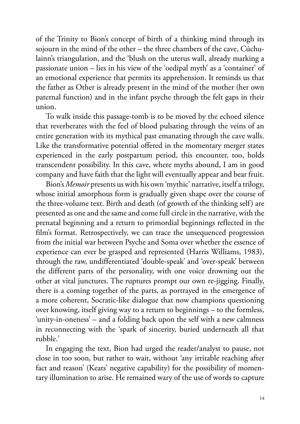of the Trinity to Bion's concept of birth of a thinking mind through its sojourn in the mind of the other – the three chambers of the cave, Cúchulainn's triangulation, and the 'blush on the uterus wall, already marking a passionate union – lies in his view of the 'oedipal myth' as a 'container' of an emotional experience that permits its apprehension. It reminds us that the father as Other is already present in the mind of the mother (her own paternal function) and in the infant psyche through the felt gaps in their union.

To walk inside this passage-tomb is to be moved by the echoed silence that reverberates with the feel of blood pulsating through the veins of an entire generation with its mythical past emanating through the cave walls. Like the transformative potential offered in the momentary merger states experienced in the early postpartum period, this encounter, too, holds transcendent possibility. In this cave, where myths abound, I am in good company and have faith that the light will eventually appear and bear fruit.

Bion's *Memoir* presents us with his own 'mythic' narrative, itself a trilogy, whose initial amorphous form is gradually given shape over the course of the three-volume text. Birth and death (of growth of the thinking self) are presented as one and the same and come full circle in the narrative, with the prenatal beginning and a return to primordial beginnings reflected in the film's format. Retrospectively, we can trace the unsequenced progression from the initial war between Psyche and Soma over whether the essence of experience can ever be grasped and represented (Harris Williams, 1983), through the raw, undifferentiated 'double-speak' and 'over-speak' between the different parts of the personality, with one voice drowning out the other at vital junctures. The ruptures prompt our own re-jigging. Finally, there is a coming together of the parts, as portrayed in the emergence of a more coherent, Socratic-like dialogue that now champions questioning over knowing, itself giving way to a return to beginnings – to the formless, 'unity-in-oneness' – and a folding back upon the self with a new calmness in reconnecting with the 'spark of sincerity, buried underneath all that rubble.'

In engaging the text, Bion had urged the reader/analyst to pause, not close in too soon, but rather to wait, without 'any irritable reaching after fact and reason' (Keats' negative capability) for the possibility of momentary illumination to arise. He remained wary of the use of words to capture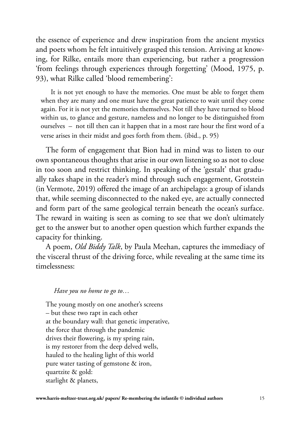the essence of experience and drew inspiration from the ancient mystics and poets whom he felt intuitively grasped this tension. Arriving at knowing, for Rilke, entails more than experiencing, but rather a progression 'from feelings through experiences through forgetting' (Mood, 1975, p. 93), what Rilke called 'blood remembering':

It is not yet enough to have the memories. One must be able to forget them when they are many and one must have the great patience to wait until they come again. For it is not yet the memories themselves. Not till they have turned to blood within us, to glance and gesture, nameless and no longer to be distinguished from ourselves – not till then can it happen that in a most rare hour the first word of a verse arises in their midst and goes forth from them. (ibid., p. 95)

The form of engagement that Bion had in mind was to listen to our own spontaneous thoughts that arise in our own listening so as not to close in too soon and restrict thinking. In speaking of the 'gestalt' that gradually takes shape in the reader's mind through such engagement, Grotstein (in Vermote, 2019) offered the image of an archipelago: a group of islands that, while seeming disconnected to the naked eye, are actually connected and form part of the same geological terrain beneath the ocean's surface. The reward in waiting is seen as coming to see that we don't ultimately get to the answer but to another open question which further expands the capacity for thinking.

A poem, *Old Biddy Talk*, by Paula Meehan, captures the immediacy of the visceral thrust of the driving force, while revealing at the same time its timelessness:

#### *Have you no home to go to…*

The young mostly on one another's screens – but these two rapt in each other at the boundary wall: that genetic imperative, the force that through the pandemic drives their flowering, is my spring rain, is my restorer from the deep delved wells, hauled to the healing light of this world pure water tasting of gemstone & iron, quartzite & gold: starlight & planets,